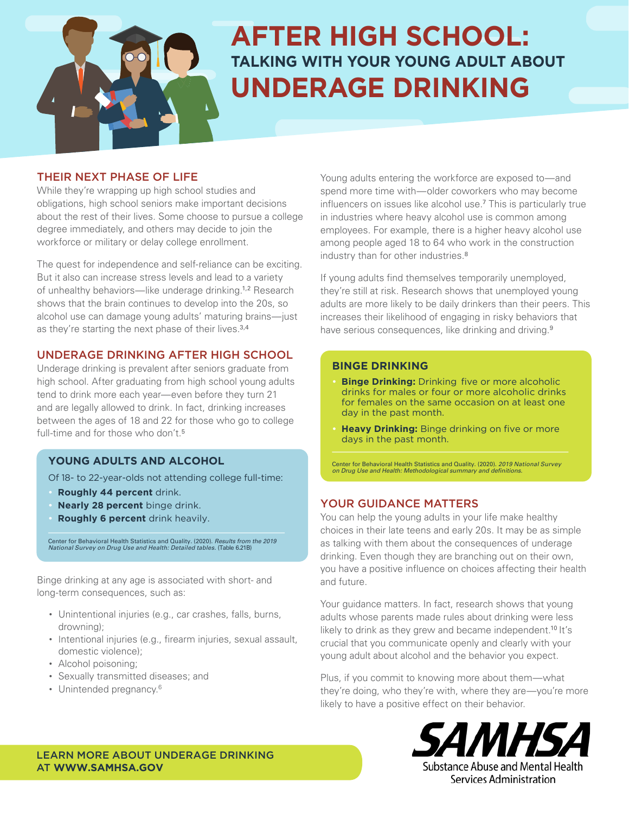

# **AFTER HIGH SCHOOL: TALKING WITH YOUR YOUNG ADULT ABOUT UNDERAGE DRINKING**

### THEIR NEXT PHASE OF LIFE

While they're wrapping up high school studies and obligations, high school seniors make important decisions about the rest of their lives. Some choose to pursue a college degree immediately, and others may decide to join the workforce or military or delay college enrollment.

The quest for independence and self-reliance can be exciting. But it also can increase stress levels and lead to a variety of unhealthy behaviors—like underage drinking.1,2 Research shows that the brain continues to develop into the 20s, so alcohol use can damage young adults' maturing brains—just as they're starting the next phase of their lives.<sup>3,4</sup>

## UNDERAGE DRINKING AFTER HIGH SCHOOL

Underage drinking is prevalent after seniors graduate from high school. After graduating from high school young adults tend to drink more each year—even before they turn 21 and are legally allowed to drink. In fact, drinking increases between the ages of 18 and 22 for those who go to college full-time and for those who don't.<sup>5</sup>

## **YOUNG ADULTS AND ALCOHOL**

Of 18- to 22-year-olds not attending college full-time:

- **Roughly 44 percent** drink.
- **Nearly 28 percent** binge drink.
- **Roughly 6 percent** drink heavily.

Center for Behavioral Health Statistics and Quality. (2020). *Results from the 2019*<br>*National Survey on Drug Use and Health: Detailed tables.* (Table 6.21B)

Binge drinking at any age is associated with short- and long-term consequences, such as:

- Unintentional injuries (e.g., car crashes, falls, burns, drowning);
- Intentional injuries (e.g., firearm injuries, sexual assault, domestic violence);
- Alcohol poisoning;
- Sexually transmitted diseases; and
- Unintended pregnancy.<sup>6</sup>

Young adults entering the workforce are exposed to—and spend more time with—older coworkers who may become influencers on issues like alcohol use.<sup>7</sup> This is particularly true in industries where heavy alcohol use is common among employees. For example, there is a higher heavy alcohol use among people aged 18 to 64 who work in the construction industry than for other industries.<sup>8</sup>

If young adults find themselves temporarily unemployed, they're still at risk. Research shows that unemployed young adults are more likely to be daily drinkers than their peers. This increases their likelihood of engaging in risky behaviors that have serious consequences, like drinking and driving.<sup>9</sup>

#### **BINGE DRINKING**

- **Binge Drinking:** Drinking five or more alcoholic drinks for males or four or more alcoholic drinks for females on the same occasion on at least one day in the past month.
- **Heavy Drinking:** Binge drinking on five or more days in the past month.

Center for Behavioral Health Statistics and Quality. (2020). 2019 National Survey on Drug Use and Health: Methodological summary and definitions.

## YOUR GUIDANCE MATTERS

You can help the young adults in your life make healthy choices in their late teens and early 20s. It may be as simple as talking with them about the consequences of underage drinking. Even though they are branching out on their own, you have a positive influence on choices affecting their health and future.

Your guidance matters. In fact, research shows that young adults whose parents made rules about drinking were less likely to drink as they grew and became independent.<sup>10</sup> It's crucial that you communicate openly and clearly with your young adult about alcohol and the behavior you expect.

Plus, if you commit to knowing more about them—what they're doing, who they're with, where they are—you're more likely to have a positive effect on their behavior.



Substance Abuse and Mental Health Services Administration

LEARN MORE ABOUT UNDERAGE DRINKING AT **[WWW.SAMHSA.GOV](https://www.samhsa.gov/)**